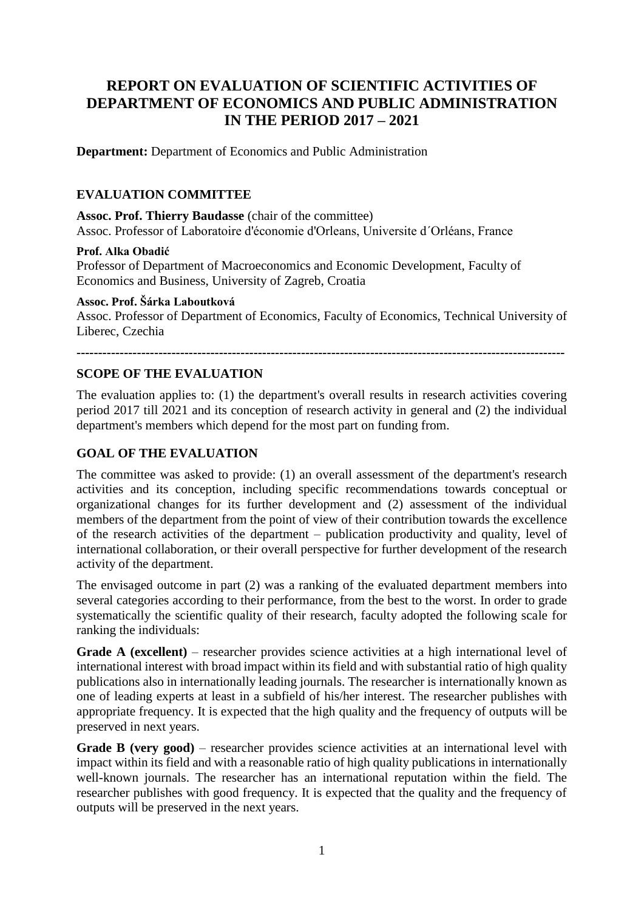# **REPORT ON EVALUATION OF SCIENTIFIC ACTIVITIES OF DEPARTMENT OF ECONOMICS AND PUBLIC ADMINISTRATION IN THE PERIOD 2017 – 2021**

**Department:** Department of Economics and Public Administration

## **EVALUATION COMMITTEE**

**Assoc. Prof. Thierry Baudasse** (chair of the committee) Assoc. Professor of Laboratoire d'économie d'Orleans, Universite d´Orléans, France

#### **Prof. Alka Obadić**

Professor of Department of Macroeconomics and Economic Development, Faculty of Economics and Business, University of Zagreb, Croatia

#### **Assoc. Prof. Šárka Laboutková**

Assoc. Professor of Department of Economics, Faculty of Economics, Technical University of Liberec, Czechia

**-----------------------------------------------------------------------------------------------------------------**

# **SCOPE OF THE EVALUATION**

The evaluation applies to: (1) the department's overall results in research activities covering period 2017 till 2021 and its conception of research activity in general and (2) the individual department's members which depend for the most part on funding from.

# **GOAL OF THE EVALUATION**

The committee was asked to provide: (1) an overall assessment of the department's research activities and its conception, including specific recommendations towards conceptual or organizational changes for its further development and (2) assessment of the individual members of the department from the point of view of their contribution towards the excellence of the research activities of the department – publication productivity and quality, level of international collaboration, or their overall perspective for further development of the research activity of the department.

The envisaged outcome in part (2) was a ranking of the evaluated department members into several categories according to their performance, from the best to the worst. In order to grade systematically the scientific quality of their research, faculty adopted the following scale for ranking the individuals:

**Grade A (excellent)** – researcher provides science activities at a high international level of international interest with broad impact within its field and with substantial ratio of high quality publications also in internationally leading journals. The researcher is internationally known as one of leading experts at least in a subfield of his/her interest. The researcher publishes with appropriate frequency. It is expected that the high quality and the frequency of outputs will be preserved in next years.

Grade B (very good) – researcher provides science activities at an international level with impact within its field and with a reasonable ratio of high quality publications in internationally well-known journals. The researcher has an international reputation within the field. The researcher publishes with good frequency. It is expected that the quality and the frequency of outputs will be preserved in the next years.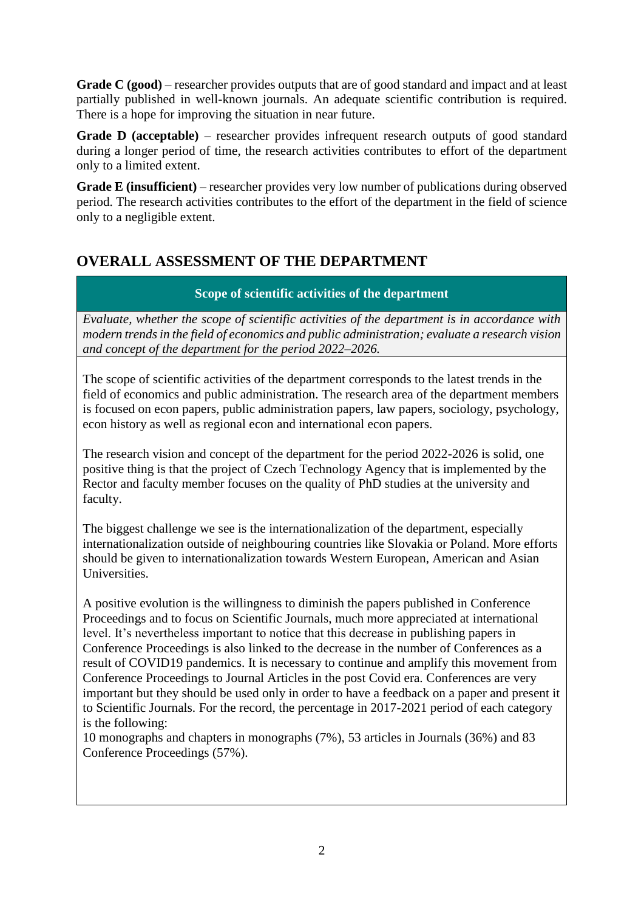**Grade C (good)** – researcher provides outputs that are of good standard and impact and at least partially published in well-known journals. An adequate scientific contribution is required. There is a hope for improving the situation in near future.

**Grade D (acceptable)** – researcher provides infrequent research outputs of good standard during a longer period of time, the research activities contributes to effort of the department only to a limited extent.

**Grade E (insufficient)** – researcher provides very low number of publications during observed period. The research activities contributes to the effort of the department in the field of science only to a negligible extent.

# **OVERALL ASSESSMENT OF THE DEPARTMENT**

# **Scope of scientific activities of the department**

*Evaluate, whether the scope of scientific activities of the department is in accordance with modern trendsin the field of economics and public administration; evaluate a research vision and concept of the department for the period 2022–2026.*

The scope of scientific activities of the department corresponds to the latest trends in the field of economics and public administration. The research area of the department members is focused on econ papers, public administration papers, law papers, sociology, psychology, econ history as well as regional econ and international econ papers.

The research vision and concept of the department for the period 2022-2026 is solid, one positive thing is that the project of Czech Technology Agency that is implemented by the Rector and faculty member focuses on the quality of PhD studies at the university and faculty.

The biggest challenge we see is the internationalization of the department, especially internationalization outside of neighbouring countries like Slovakia or Poland. More efforts should be given to internationalization towards Western European, American and Asian Universities.

A positive evolution is the willingness to diminish the papers published in Conference Proceedings and to focus on Scientific Journals, much more appreciated at international level. It's nevertheless important to notice that this decrease in publishing papers in Conference Proceedings is also linked to the decrease in the number of Conferences as a result of COVID19 pandemics. It is necessary to continue and amplify this movement from Conference Proceedings to Journal Articles in the post Covid era. Conferences are very important but they should be used only in order to have a feedback on a paper and present it to Scientific Journals. For the record, the percentage in 2017-2021 period of each category is the following:

10 monographs and chapters in monographs (7%), 53 articles in Journals (36%) and 83 Conference Proceedings (57%).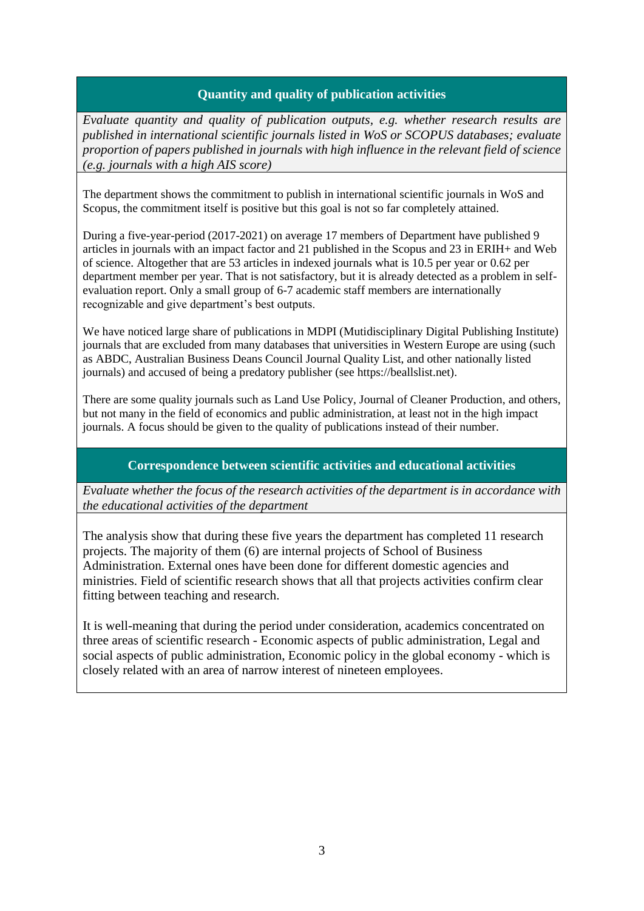## **Quantity and quality of publication activities**

*Evaluate quantity and quality of publication outputs, e.g. whether research results are published in international scientific journals listed in WoS or SCOPUS databases; evaluate proportion of papers published in journals with high influence in the relevant field of science (e.g. journals with a high AIS score)*

The department shows the commitment to publish in international scientific journals in WoS and Scopus, the commitment itself is positive but this goal is not so far completely attained.

During a five-year-period (2017-2021) on average 17 members of Department have published 9 articles in journals with an impact factor and 21 published in the Scopus and 23 in ERIH+ and Web of science. Altogether that are 53 articles in indexed journals what is 10.5 per year or 0.62 per department member per year. That is not satisfactory, but it is already detected as a problem in selfevaluation report. Only a small group of 6-7 academic staff members are internationally recognizable and give department's best outputs.

We have noticed large share of publications in MDPI (Mutidisciplinary Digital Publishing Institute) journals that are excluded from many databases that universities in Western Europe are using (such as ABDC, Australian Business Deans Council Journal Quality List, and other nationally listed journals) and accused of being a predatory publisher (see https://beallslist.net).

There are some quality journals such as Land Use Policy, Journal of Cleaner Production, and others, but not many in the field of economics and public administration, at least not in the high impact journals. A focus should be given to the quality of publications instead of their number.

### **Correspondence between scientific activities and educational activities**

*Evaluate whether the focus of the research activities of the department is in accordance with the educational activities of the department*

The analysis show that during these five years the department has completed 11 research projects. The majority of them (6) are internal projects of School of Business Administration. External ones have been done for different domestic agencies and ministries. Field of scientific research shows that all that projects activities confirm clear fitting between teaching and research.

It is well-meaning that during the period under consideration, academics concentrated on three areas of scientific research - Economic aspects of public administration, Legal and social aspects of public administration, Economic policy in the global economy - which is closely related with an area of narrow interest of nineteen employees.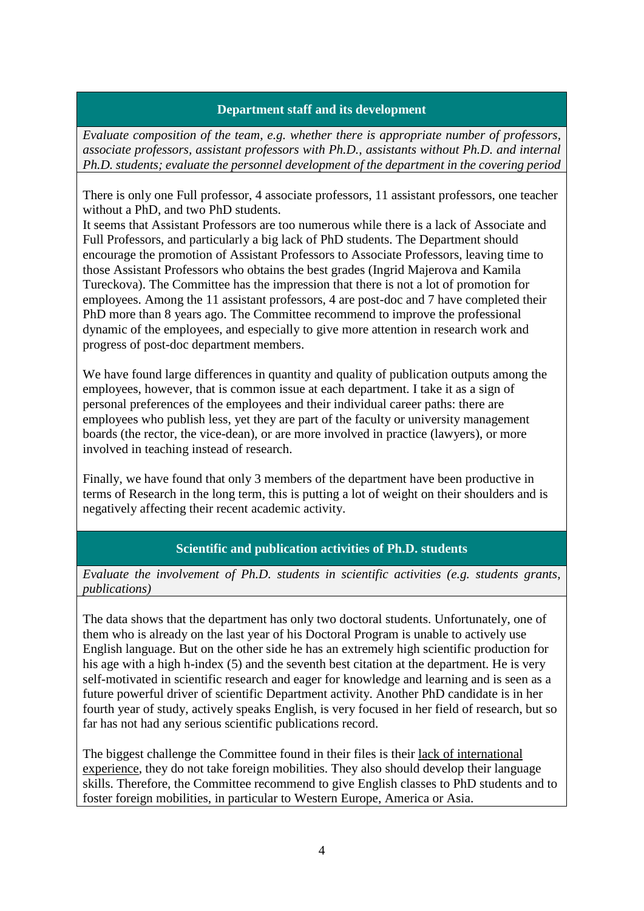#### **Department staff and its development**

*Evaluate composition of the team, e.g. whether there is appropriate number of professors, associate professors, assistant professors with Ph.D., assistants without Ph.D. and internal Ph.D. students; evaluate the personnel development of the department in the covering period* 

There is only one Full professor, 4 associate professors, 11 assistant professors, one teacher without a PhD, and two PhD students.

It seems that Assistant Professors are too numerous while there is a lack of Associate and Full Professors, and particularly a big lack of PhD students. The Department should encourage the promotion of Assistant Professors to Associate Professors, leaving time to those Assistant Professors who obtains the best grades (Ingrid Majerova and Kamila Tureckova). The Committee has the impression that there is not a lot of promotion for employees. Among the 11 assistant professors, 4 are post-doc and 7 have completed their PhD more than 8 years ago. The Committee recommend to improve the professional dynamic of the employees, and especially to give more attention in research work and progress of post-doc department members.

We have found large differences in quantity and quality of publication outputs among the employees, however, that is common issue at each department. I take it as a sign of personal preferences of the employees and their individual career paths: there are employees who publish less, yet they are part of the faculty or university management boards (the rector, the vice-dean), or are more involved in practice (lawyers), or more involved in teaching instead of research.

Finally, we have found that only 3 members of the department have been productive in terms of Research in the long term, this is putting a lot of weight on their shoulders and is negatively affecting their recent academic activity.

### **Scientific and publication activities of Ph.D. students**

*Evaluate the involvement of Ph.D. students in scientific activities (e.g. students grants, publications)*

The data shows that the department has only two doctoral students. Unfortunately, one of them who is already on the last year of his Doctoral Program is unable to actively use English language. But on the other side he has an extremely high scientific production for his age with a high h-index (5) and the seventh best citation at the department. He is very self-motivated in scientific research and eager for knowledge and learning and is seen as a future powerful driver of scientific Department activity. Another PhD candidate is in her fourth year of study, actively speaks English, is very focused in her field of research, but so far has not had any serious scientific publications record.

The biggest challenge the Committee found in their files is their lack of international experience, they do not take foreign mobilities. They also should develop their language skills. Therefore, the Committee recommend to give English classes to PhD students and to foster foreign mobilities, in particular to Western Europe, America or Asia.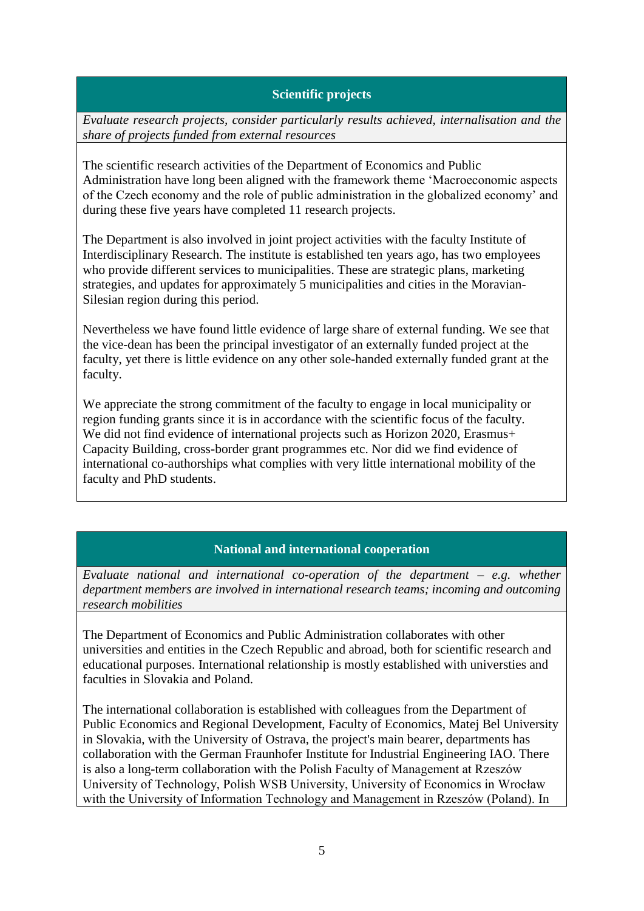## **Scientific projects**

*Evaluate research projects, consider particularly results achieved, internalisation and the share of projects funded from external resources*

The scientific research activities of the Department of Economics and Public Administration have long been aligned with the framework theme 'Macroeconomic aspects of the Czech economy and the role of public administration in the globalized economy' and during these five years have completed 11 research projects.

The Department is also involved in joint project activities with the faculty Institute of Interdisciplinary Research. The institute is established ten years ago, has two employees who provide different services to municipalities. These are strategic plans, marketing strategies, and updates for approximately 5 municipalities and cities in the Moravian-Silesian region during this period.

Nevertheless we have found little evidence of large share of external funding. We see that the vice-dean has been the principal investigator of an externally funded project at the faculty, yet there is little evidence on any other sole-handed externally funded grant at the faculty.

We appreciate the strong commitment of the faculty to engage in local municipality or region funding grants since it is in accordance with the scientific focus of the faculty. We did not find evidence of international projects such as Horizon 2020, Erasmus+ Capacity Building, cross-border grant programmes etc. Nor did we find evidence of international co-authorships what complies with very little international mobility of the faculty and PhD students.

### **National and international cooperation**

*Evaluate national and international co-operation of the department – e.g. whether department members are involved in international research teams; incoming and outcoming research mobilities* 

The Department of Economics and Public Administration collaborates with other universities and entities in the Czech Republic and abroad, both for scientific research and educational purposes. International relationship is mostly established with universties and faculties in Slovakia and Poland.

The international collaboration is established with colleagues from the Department of Public Economics and Regional Development, Faculty of Economics, Matej Bel University in Slovakia, with the University of Ostrava, the project's main bearer, departments has collaboration with the German Fraunhofer Institute for Industrial Engineering IAO. There is also a long-term collaboration with the Polish Faculty of Management at Rzeszów University of Technology, Polish WSB University, University of Economics in Wrocław with the University of Information Technology and Management in Rzeszów (Poland). In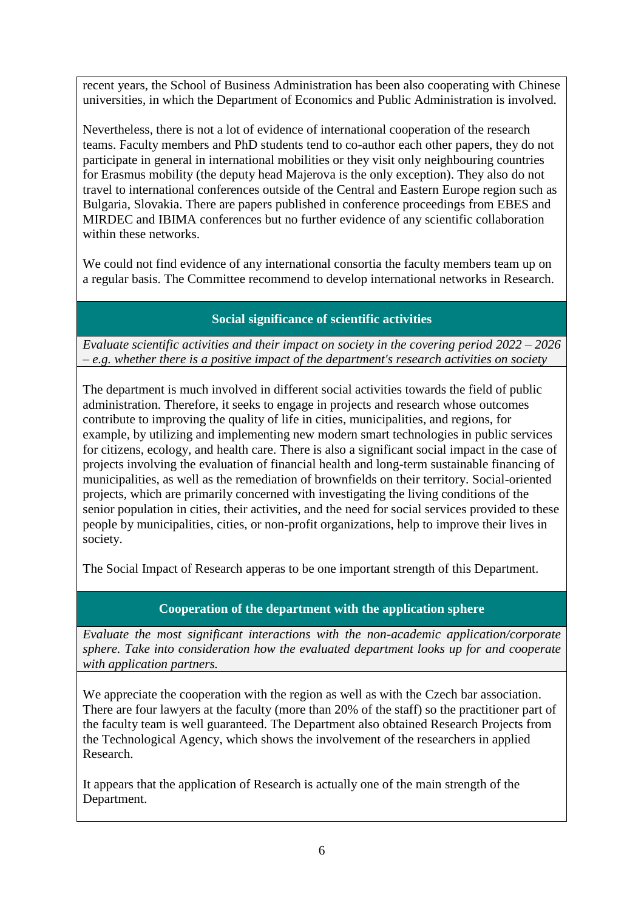recent years, the School of Business Administration has been also cooperating with Chinese universities, in which the Department of Economics and Public Administration is involved.

Nevertheless, there is not a lot of evidence of international cooperation of the research teams. Faculty members and PhD students tend to co-author each other papers, they do not participate in general in international mobilities or they visit only neighbouring countries for Erasmus mobility (the deputy head Majerova is the only exception). They also do not travel to international conferences outside of the Central and Eastern Europe region such as Bulgaria, Slovakia. There are papers published in conference proceedings from EBES and MIRDEC and IBIMA conferences but no further evidence of any scientific collaboration within these networks.

We could not find evidence of any international consortia the faculty members team up on a regular basis. The Committee recommend to develop international networks in Research.

# **Social significance of scientific activities**

*Evaluate scientific activities and their impact on society in the covering period 2022 – 2026 – e.g. whether there is a positive impact of the department's research activities on society*

The department is much involved in different social activities towards the field of public administration. Therefore, it seeks to engage in projects and research whose outcomes contribute to improving the quality of life in cities, municipalities, and regions, for example, by utilizing and implementing new modern smart technologies in public services for citizens, ecology, and health care. There is also a significant social impact in the case of projects involving the evaluation of financial health and long-term sustainable financing of municipalities, as well as the remediation of brownfields on their territory. Social-oriented projects, which are primarily concerned with investigating the living conditions of the senior population in cities, their activities, and the need for social services provided to these people by municipalities, cities, or non-profit organizations, help to improve their lives in society.

The Social Impact of Research apperas to be one important strength of this Department.

# **Cooperation of the department with the application sphere**

*Evaluate the most significant interactions with the non-academic application/corporate sphere. Take into consideration how the evaluated department looks up for and cooperate with application partners.*

We appreciate the cooperation with the region as well as with the Czech bar association. There are four lawyers at the faculty (more than 20% of the staff) so the practitioner part of the faculty team is well guaranteed. The Department also obtained Research Projects from the Technological Agency, which shows the involvement of the researchers in applied Research.

It appears that the application of Research is actually one of the main strength of the Department.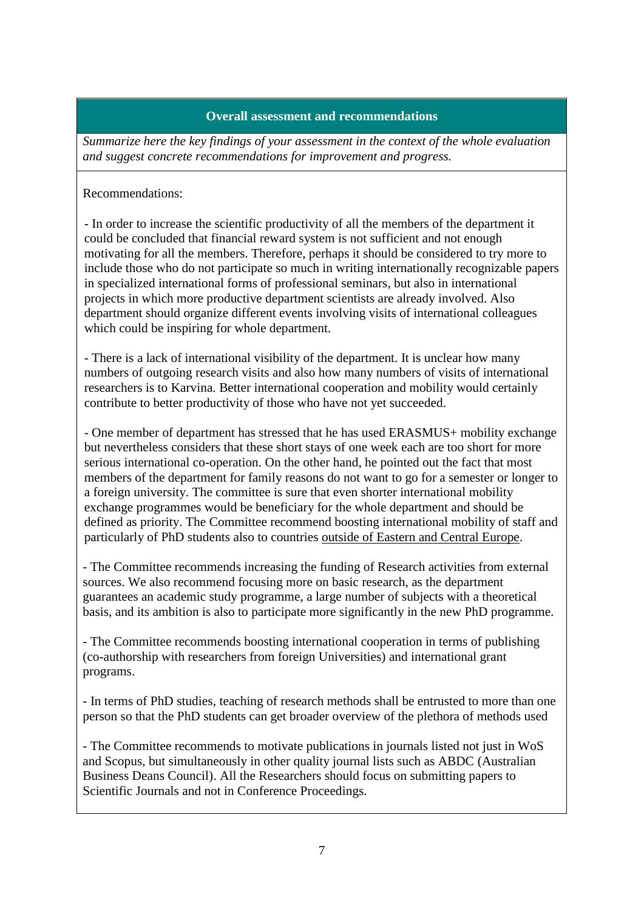#### **Overall assessment and recommendations**

*Summarize here the key findings of your assessment in the context of the whole evaluation and suggest concrete recommendations for improvement and progress.*

Recommendations:

- In order to increase the scientific productivity of all the members of the department it could be concluded that financial reward system is not sufficient and not enough motivating for all the members. Therefore, perhaps it should be considered to try more to include those who do not participate so much in writing internationally recognizable papers in specialized international forms of professional seminars, but also in international projects in which more productive department scientists are already involved. Also department should organize different events involving visits of international colleagues which could be inspiring for whole department.

- There is a lack of international visibility of the department. It is unclear how many numbers of outgoing research visits and also how many numbers of visits of international researchers is to Karvina. Better international cooperation and mobility would certainly contribute to better productivity of those who have not yet succeeded.

- One member of department has stressed that he has used ERASMUS+ mobility exchange but nevertheless considers that these short stays of one week each are too short for more serious international co-operation. On the other hand, he pointed out the fact that most members of the department for family reasons do not want to go for a semester or longer to a foreign university. The committee is sure that even shorter international mobility exchange programmes would be beneficiary for the whole department and should be defined as priority. The Committee recommend boosting international mobility of staff and particularly of PhD students also to countries outside of Eastern and Central Europe.

- The Committee recommends increasing the funding of Research activities from external sources. We also recommend focusing more on basic research, as the department guarantees an academic study programme, a large number of subjects with a theoretical basis, and its ambition is also to participate more significantly in the new PhD programme.

- The Committee recommends boosting international cooperation in terms of publishing (co-authorship with researchers from foreign Universities) and international grant programs.

- In terms of PhD studies, teaching of research methods shall be entrusted to more than one person so that the PhD students can get broader overview of the plethora of methods used

- The Committee recommends to motivate publications in journals listed not just in WoS and Scopus, but simultaneously in other quality journal lists such as ABDC (Australian Business Deans Council). All the Researchers should focus on submitting papers to Scientific Journals and not in Conference Proceedings.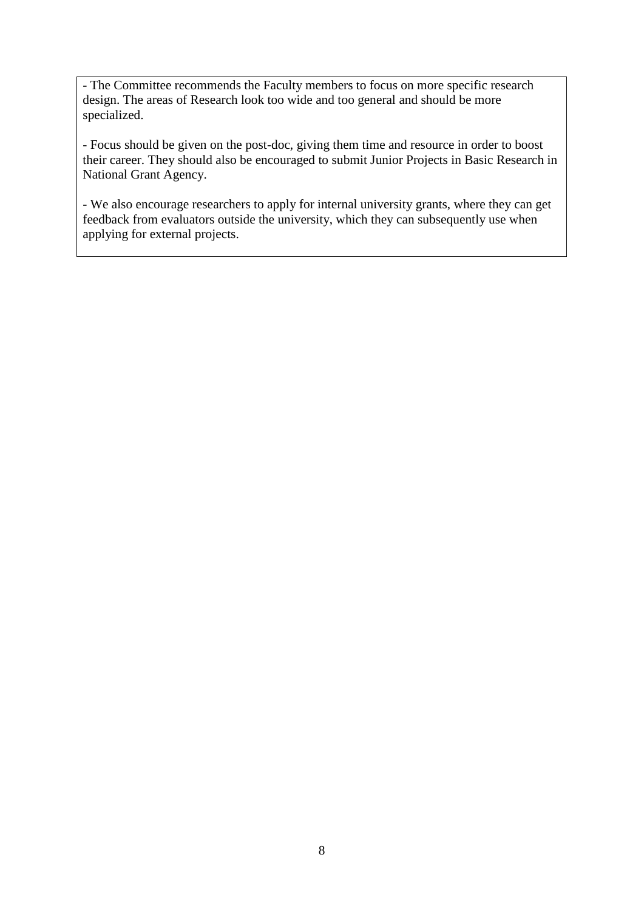- The Committee recommends the Faculty members to focus on more specific research design. The areas of Research look too wide and too general and should be more specialized.

- Focus should be given on the post-doc, giving them time and resource in order to boost their career. They should also be encouraged to submit Junior Projects in Basic Research in National Grant Agency.

- We also encourage researchers to apply for internal university grants, where they can get feedback from evaluators outside the university, which they can subsequently use when applying for external projects.